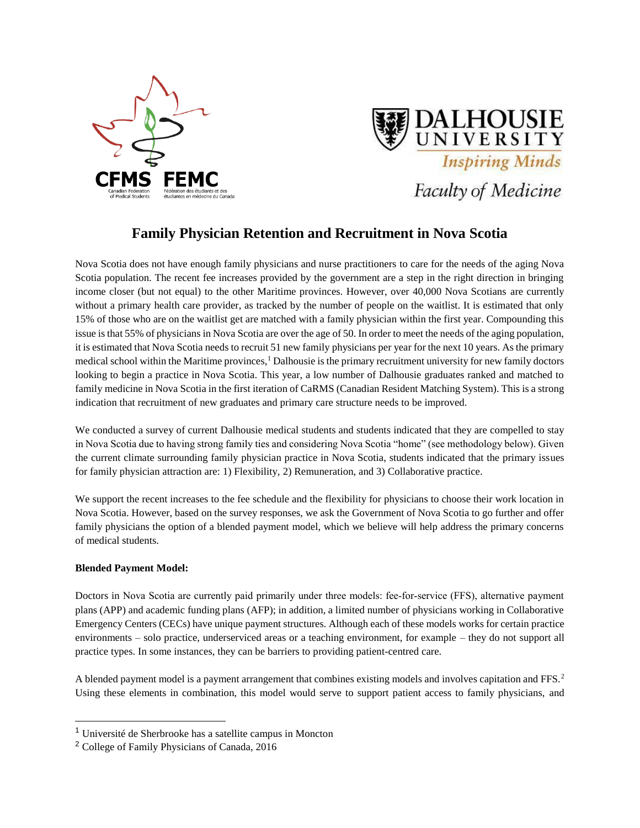



# **Family Physician Retention and Recruitment in Nova Scotia**

Nova Scotia does not have enough family physicians and nurse practitioners to care for the needs of the aging Nova Scotia population. The recent fee increases provided by the government are a step in the right direction in bringing income closer (but not equal) to the other Maritime provinces. However, over 40,000 Nova Scotians are currently without a primary health care provider, as tracked by the number of people on the waitlist. It is estimated that only 15% of those who are on the waitlist get are matched with a family physician within the first year. Compounding this issue is that 55% of physicians in Nova Scotia are over the age of 50. In order to meet the needs of the aging population, it is estimated that Nova Scotia needs to recruit 51 new family physicians per year for the next 10 years. As the primary medical school within the Maritime provinces,<sup>1</sup> Dalhousie is the primary recruitment university for new family doctors looking to begin a practice in Nova Scotia. This year, a low number of Dalhousie graduates ranked and matched to family medicine in Nova Scotia in the first iteration of CaRMS (Canadian Resident Matching System). This is a strong indication that recruitment of new graduates and primary care structure needs to be improved.

We conducted a survey of current Dalhousie medical students and students indicated that they are compelled to stay in Nova Scotia due to having strong family ties and considering Nova Scotia "home" (see methodology below). Given the current climate surrounding family physician practice in Nova Scotia, students indicated that the primary issues for family physician attraction are: 1) Flexibility, 2) Remuneration, and 3) Collaborative practice.

We support the recent increases to the fee schedule and the flexibility for physicians to choose their work location in Nova Scotia. However, based on the survey responses, we ask the Government of Nova Scotia to go further and offer family physicians the option of a blended payment model, which we believe will help address the primary concerns of medical students.

## **Blended Payment Model:**

 $\overline{a}$ 

Doctors in Nova Scotia are currently paid primarily under three models: fee-for-service (FFS), alternative payment plans (APP) and academic funding plans (AFP); in addition, a limited number of physicians working in Collaborative Emergency Centers (CECs) have unique payment structures. Although each of these models works for certain practice environments – solo practice, underserviced areas or a teaching environment, for example – they do not support all practice types. In some instances, they can be barriers to providing patient-centred care.

A blended payment model is a payment arrangement that combines existing models and involves capitation and FFS.<sup>2</sup> Using these elements in combination, this model would serve to support patient access to family physicians, and

<sup>1</sup> Université de Sherbrooke has a satellite campus in Moncton

<sup>2</sup> College of Family Physicians of Canada, 2016